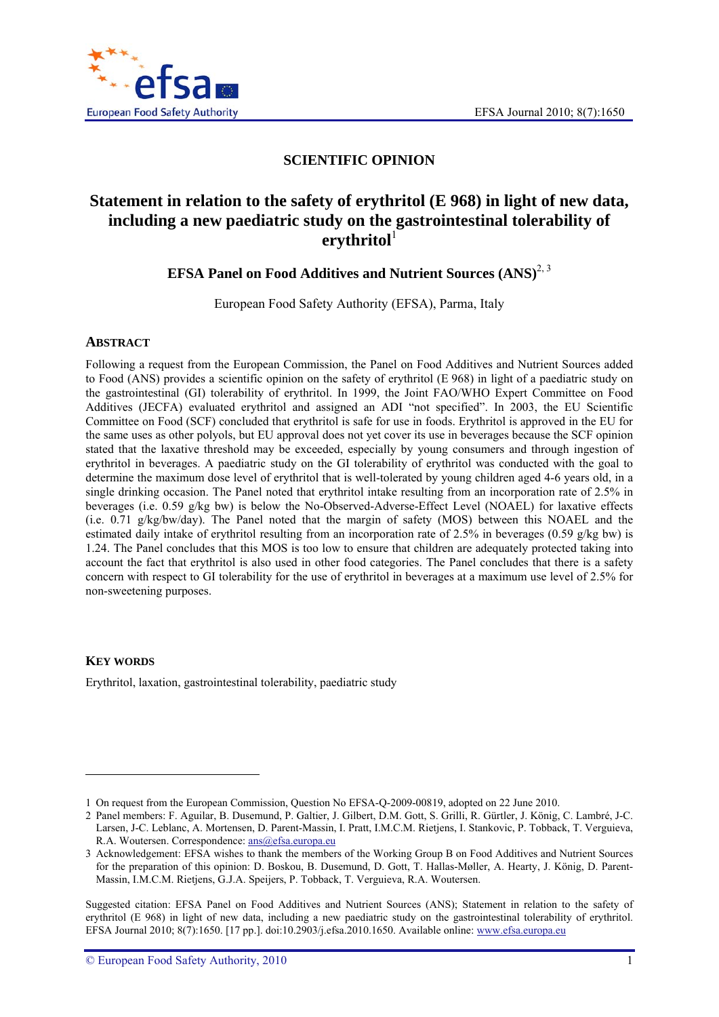

## **SCIENTIFIC OPINION**

# **Statement in relation to the safety of erythritol (E 968) in light of new data, including a new paediatric study on the gastrointestinal tolerability of ritol** $<sup>1</sup>$ </sup>

**EFSA Panel on Food Additives and Nutrient Sources (ANS)<sup>2, 3</sup>** 

European Food Safety Authority (EFSA), Parma, Italy

### **ABSTRACT**

Following a request from the European Commission, the Panel on Food Additives and Nutrient Sources added to Food (ANS) provides a scientific opinion on the safety of erythritol (E 968) in light of a paediatric study on the gastrointestinal (GI) tolerability of erythritol. In 1999, the Joint FAO/WHO Expert Committee on Food Additives (JECFA) evaluated erythritol and assigned an ADI "not specified". In 2003, the EU Scientific Committee on Food (SCF) concluded that erythritol is safe for use in foods. Erythritol is approved in the EU for the same uses as other polyols, but EU approval does not yet cover its use in beverages because the SCF opinion stated that the laxative threshold may be exceeded, especially by young consumers and through ingestion of erythritol in beverages. A paediatric study on the GI tolerability of erythritol was conducted with the goal to determine the maximum dose level of erythritol that is well-tolerated by young children aged 4-6 years old, in a single drinking occasion. The Panel noted that erythritol intake resulting from an incorporation rate of 2.5% in beverages (i.e. 0.59 g/kg bw) is below the No-Observed-Adverse-Effect Level (NOAEL) for laxative effects (i.e. 0.71 g/kg/bw/day). The Panel noted that the margin of safety (MOS) between this NOAEL and the estimated daily intake of erythritol resulting from an incorporation rate of 2.5% in beverages (0.59 g/kg bw) is 1.24. The Panel concludes that this MOS is too low to ensure that children are adequately protected taking into account the fact that erythritol is also used in other food categories. The Panel concludes that there is a safety concern with respect to GI tolerability for the use of erythritol in beverages at a maximum use level of 2.5% for non-sweetening purposes.

#### **KEY WORDS**

1

Erythritol, laxation, gastrointestinal tolerability, paediatric study

<sup>1</sup> On request from the European Commission, Question No EFSA-Q-2009-00819, adopted on 22 June 2010.

<sup>2</sup> Panel members: F. Aguilar, B. Dusemund, P. Galtier, J. Gilbert, D.M. Gott, S. Grilli, R. Gürtler, J. König, C. Lambré, J-C. Larsen, J-C. Leblanc, A. Mortensen, D. Parent-Massin, I. Pratt, I.M.C.M. Rietjens, I. Stankovic, P. Tobback, T. Verguieva, R.A. Woutersen. Correspondence: ans@efsa.europa.eu

<sup>3</sup> Acknowledgement: EFSA wishes to thank the members of the Working Group B on Food Additives and Nutrient Sources for the preparation of this opinion: D. Boskou, B. Dusemund, D. Gott, T. Hallas-Møller, A. Hearty, J. König, D. Parent-Massin, I.M.C.M. Rietjens, G.J.A. Speijers, P. Tobback, T. Verguieva, R.A. Woutersen.

Suggested citation: EFSA Panel on Food Additives and Nutrient Sources (ANS); Statement in relation to the safety of erythritol (E 968) in light of new data, including a new paediatric study on the gastrointestinal tolerability of erythritol. EFSA Journal 2010; 8(7):1650. [17 pp.]. doi:10.2903/j.efsa.2010.1650. Available online: www.efsa.europa.eu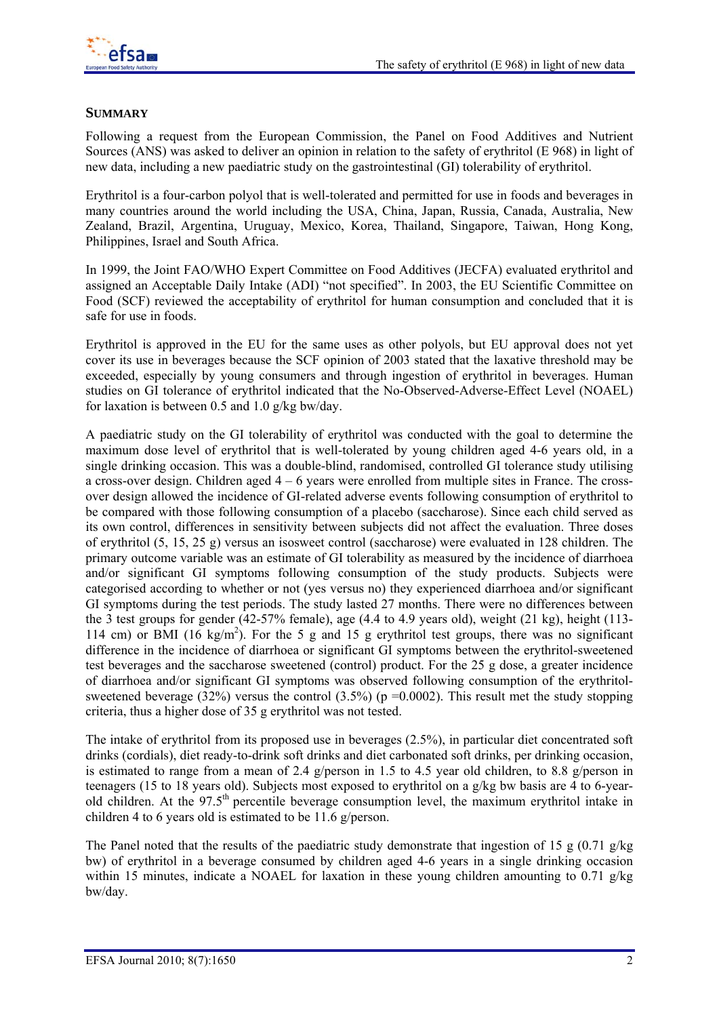

## **SUMMARY**

Following a request from the European Commission, the Panel on Food Additives and Nutrient Sources (ANS) was asked to deliver an opinion in relation to the safety of erythritol (E 968) in light of new data, including a new paediatric study on the gastrointestinal (GI) tolerability of erythritol.

Erythritol is a four-carbon polyol that is well-tolerated and permitted for use in foods and beverages in many countries around the world including the USA, China, Japan, Russia, Canada, Australia, New Zealand, Brazil, Argentina, Uruguay, Mexico, Korea, Thailand, Singapore, Taiwan, Hong Kong, Philippines, Israel and South Africa.

In 1999, the Joint FAO/WHO Expert Committee on Food Additives (JECFA) evaluated erythritol and assigned an Acceptable Daily Intake (ADI) "not specified". In 2003, the EU Scientific Committee on Food (SCF) reviewed the acceptability of erythritol for human consumption and concluded that it is safe for use in foods.

Erythritol is approved in the EU for the same uses as other polyols, but EU approval does not yet cover its use in beverages because the SCF opinion of 2003 stated that the laxative threshold may be exceeded, especially by young consumers and through ingestion of erythritol in beverages. Human studies on GI tolerance of erythritol indicated that the No-Observed-Adverse-Effect Level (NOAEL) for laxation is between 0.5 and 1.0  $g/kg$  bw/day.

A paediatric study on the GI tolerability of erythritol was conducted with the goal to determine the maximum dose level of erythritol that is well-tolerated by young children aged 4-6 years old, in a single drinking occasion. This was a double-blind, randomised, controlled GI tolerance study utilising a cross-over design. Children aged  $4 - 6$  years were enrolled from multiple sites in France. The crossover design allowed the incidence of GI-related adverse events following consumption of erythritol to be compared with those following consumption of a placebo (saccharose). Since each child served as its own control, differences in sensitivity between subjects did not affect the evaluation. Three doses of erythritol (5, 15, 25 g) versus an isosweet control (saccharose) were evaluated in 128 children. The primary outcome variable was an estimate of GI tolerability as measured by the incidence of diarrhoea and/or significant GI symptoms following consumption of the study products. Subjects were categorised according to whether or not (yes versus no) they experienced diarrhoea and/or significant GI symptoms during the test periods. The study lasted 27 months. There were no differences between the 3 test groups for gender (42-57% female), age (4.4 to 4.9 years old), weight (21 kg), height (113- 114 cm) or BMI (16 kg/m<sup>2</sup>). For the 5 g and 15 g erythritol test groups, there was no significant difference in the incidence of diarrhoea or significant GI symptoms between the erythritol-sweetened test beverages and the saccharose sweetened (control) product. For the 25 g dose, a greater incidence of diarrhoea and/or significant GI symptoms was observed following consumption of the erythritolsweetened beverage (32%) versus the control (3.5%) ( $p = 0.0002$ ). This result met the study stopping criteria, thus a higher dose of 35 g erythritol was not tested.

The intake of erythritol from its proposed use in beverages (2.5%), in particular diet concentrated soft drinks (cordials), diet ready-to-drink soft drinks and diet carbonated soft drinks, per drinking occasion, is estimated to range from a mean of 2.4 g/person in 1.5 to 4.5 year old children, to 8.8 g/person in teenagers (15 to 18 years old). Subjects most exposed to erythritol on a g/kg bw basis are 4 to 6-yearold children. At the 97.5<sup>th</sup> percentile beverage consumption level, the maximum erythritol intake in children 4 to 6 years old is estimated to be 11.6 g/person.

The Panel noted that the results of the paediatric study demonstrate that ingestion of 15 g (0.71 g/kg bw) of erythritol in a beverage consumed by children aged 4-6 years in a single drinking occasion within 15 minutes, indicate a NOAEL for laxation in these young children amounting to 0.71 g/kg bw/day.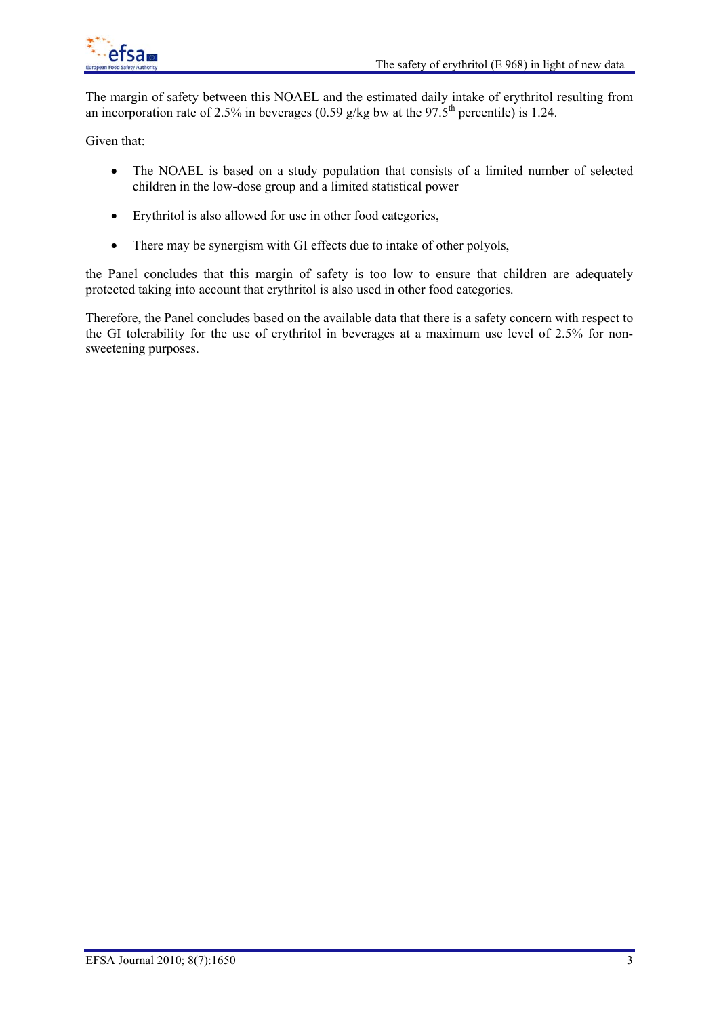

The margin of safety between this NOAEL and the estimated daily intake of erythritol resulting from an incorporation rate of 2.5% in beverages (0.59 g/kg bw at the 97.5<sup>th</sup> percentile) is 1.24.

Given that:

- The NOAEL is based on a study population that consists of a limited number of selected children in the low-dose group and a limited statistical power
- Erythritol is also allowed for use in other food categories,
- There may be synergism with GI effects due to intake of other polyols,

the Panel concludes that this margin of safety is too low to ensure that children are adequately protected taking into account that erythritol is also used in other food categories.

Therefore, the Panel concludes based on the available data that there is a safety concern with respect to the GI tolerability for the use of erythritol in beverages at a maximum use level of 2.5% for nonsweetening purposes.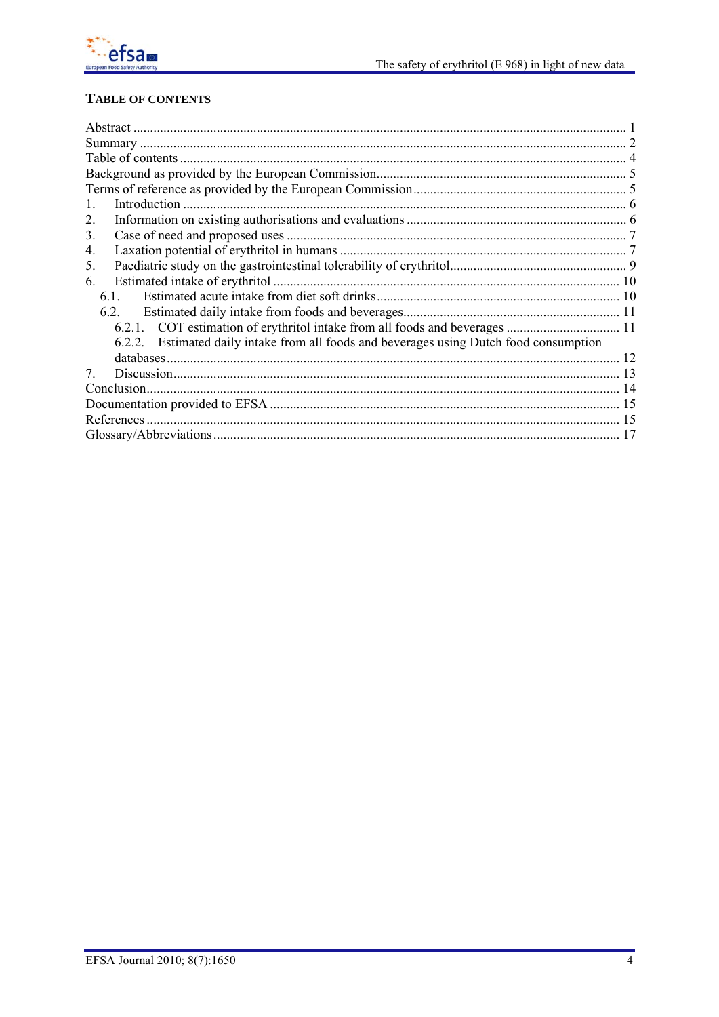

## **TABLE OF CONTENTS**

| 1.                                                                                      |  |
|-----------------------------------------------------------------------------------------|--|
| 2.                                                                                      |  |
| 3.                                                                                      |  |
| 4.                                                                                      |  |
| 5.                                                                                      |  |
| 6.                                                                                      |  |
| 61                                                                                      |  |
| 6.2.                                                                                    |  |
|                                                                                         |  |
| 6.2.2. Estimated daily intake from all foods and beverages using Dutch food consumption |  |
|                                                                                         |  |
| 7                                                                                       |  |
|                                                                                         |  |
|                                                                                         |  |
|                                                                                         |  |
|                                                                                         |  |
|                                                                                         |  |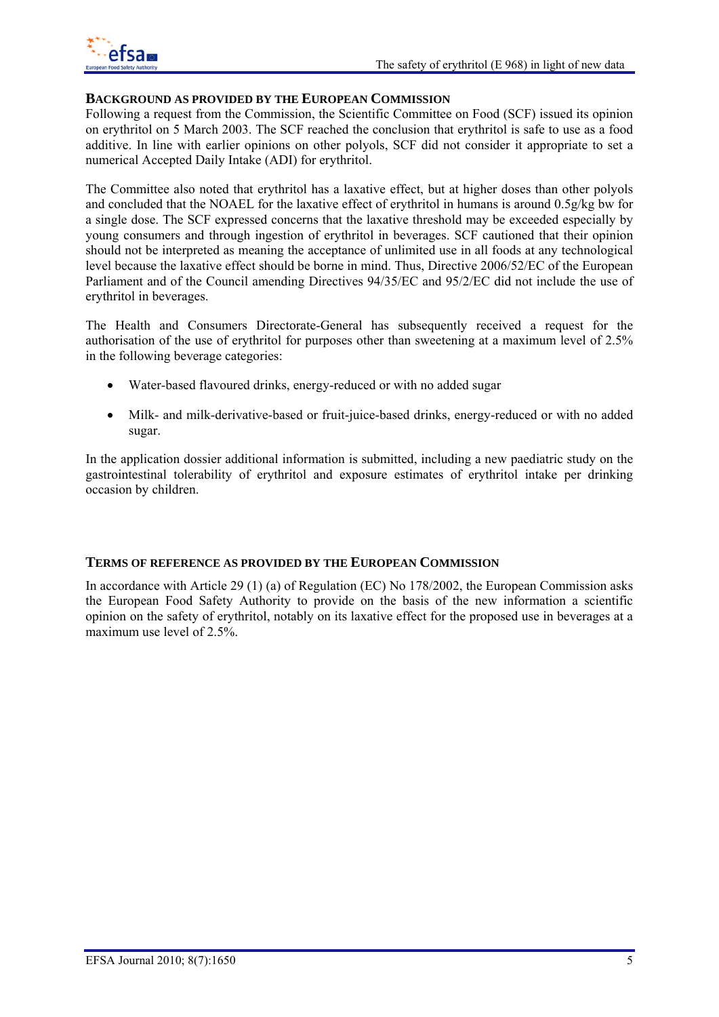

### **BACKGROUND AS PROVIDED BY THE EUROPEAN COMMISSION**

Following a request from the Commission, the Scientific Committee on Food (SCF) issued its opinion on erythritol on 5 March 2003. The SCF reached the conclusion that erythritol is safe to use as a food additive. In line with earlier opinions on other polyols, SCF did not consider it appropriate to set a numerical Accepted Daily Intake (ADI) for erythritol.

The Committee also noted that erythritol has a laxative effect, but at higher doses than other polyols and concluded that the NOAEL for the laxative effect of erythritol in humans is around 0.5g/kg bw for a single dose. The SCF expressed concerns that the laxative threshold may be exceeded especially by young consumers and through ingestion of erythritol in beverages. SCF cautioned that their opinion should not be interpreted as meaning the acceptance of unlimited use in all foods at any technological level because the laxative effect should be borne in mind. Thus, Directive 2006/52/EC of the European Parliament and of the Council amending Directives 94/35/EC and 95/2/EC did not include the use of erythritol in beverages.

The Health and Consumers Directorate-General has subsequently received a request for the authorisation of the use of erythritol for purposes other than sweetening at a maximum level of 2.5% in the following beverage categories:

- Water-based flavoured drinks, energy-reduced or with no added sugar
- Milk- and milk-derivative-based or fruit-juice-based drinks, energy-reduced or with no added sugar.

In the application dossier additional information is submitted, including a new paediatric study on the gastrointestinal tolerability of erythritol and exposure estimates of erythritol intake per drinking occasion by children.

### **TERMS OF REFERENCE AS PROVIDED BY THE EUROPEAN COMMISSION**

In accordance with Article 29 (1) (a) of Regulation (EC) No 178/2002, the European Commission asks the European Food Safety Authority to provide on the basis of the new information a scientific opinion on the safety of erythritol, notably on its laxative effect for the proposed use in beverages at a maximum use level of 2.5%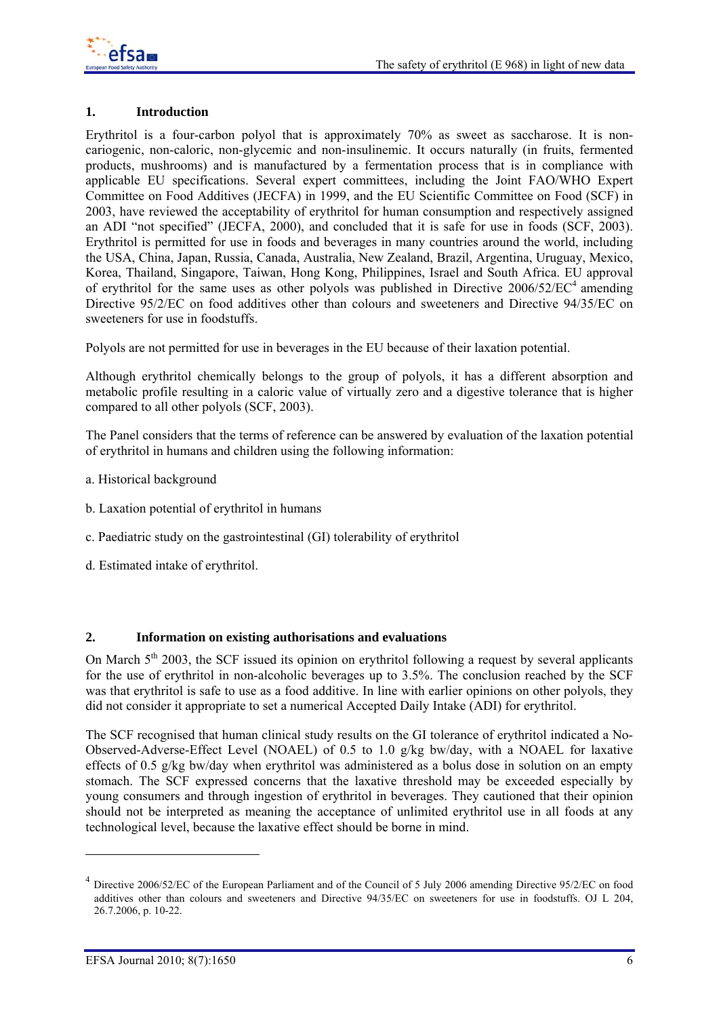

## **1. Introduction**

Erythritol is a four-carbon polyol that is approximately 70% as sweet as saccharose. It is noncariogenic, non-caloric, non-glycemic and non-insulinemic. It occurs naturally (in fruits, fermented products, mushrooms) and is manufactured by a fermentation process that is in compliance with applicable EU specifications. Several expert committees, including the Joint FAO/WHO Expert Committee on Food Additives (JECFA) in 1999, and the EU Scientific Committee on Food (SCF) in 2003, have reviewed the acceptability of erythritol for human consumption and respectively assigned an ADI "not specified" (JECFA, 2000), and concluded that it is safe for use in foods (SCF, 2003). Erythritol is permitted for use in foods and beverages in many countries around the world, including the USA, China, Japan, Russia, Canada, Australia, New Zealand, Brazil, Argentina, Uruguay, Mexico, Korea, Thailand, Singapore, Taiwan, Hong Kong, Philippines, Israel and South Africa. EU approval of erythritol for the same uses as other polyols was published in Directive  $2006/52/EC^4$  amending Directive 95/2/EC on food additives other than colours and sweeteners and Directive 94/35/EC on sweeteners for use in foodstuffs.

Polyols are not permitted for use in beverages in the EU because of their laxation potential.

Although erythritol chemically belongs to the group of polyols, it has a different absorption and metabolic profile resulting in a caloric value of virtually zero and a digestive tolerance that is higher compared to all other polyols (SCF, 2003).

The Panel considers that the terms of reference can be answered by evaluation of the laxation potential of erythritol in humans and children using the following information:

- a. Historical background
- b. Laxation potential of erythritol in humans
- c. Paediatric study on the gastrointestinal (GI) tolerability of erythritol
- d. Estimated intake of erythritol.

### **2. Information on existing authorisations and evaluations**

On March  $5<sup>th</sup>$  2003, the SCF issued its opinion on erythritol following a request by several applicants for the use of erythritol in non-alcoholic beverages up to 3.5%. The conclusion reached by the SCF was that erythritol is safe to use as a food additive. In line with earlier opinions on other polyols, they did not consider it appropriate to set a numerical Accepted Daily Intake (ADI) for erythritol.

The SCF recognised that human clinical study results on the GI tolerance of erythritol indicated a No-Observed-Adverse-Effect Level (NOAEL) of 0.5 to 1.0 g/kg bw/day, with a NOAEL for laxative effects of 0.5 g/kg bw/day when erythritol was administered as a bolus dose in solution on an empty stomach. The SCF expressed concerns that the laxative threshold may be exceeded especially by young consumers and through ingestion of erythritol in beverages. They cautioned that their opinion should not be interpreted as meaning the acceptance of unlimited erythritol use in all foods at any technological level, because the laxative effect should be borne in mind.

1

<sup>&</sup>lt;sup>4</sup> Directive 2006/52/EC of the European Parliament and of the Council of 5 July 2006 amending Directive 95/2/EC on food additives other than colours and sweeteners and Directive 94/35/EC on sweeteners for use in foodstuffs. OJ L 204, 26.7.2006, p. 10-22.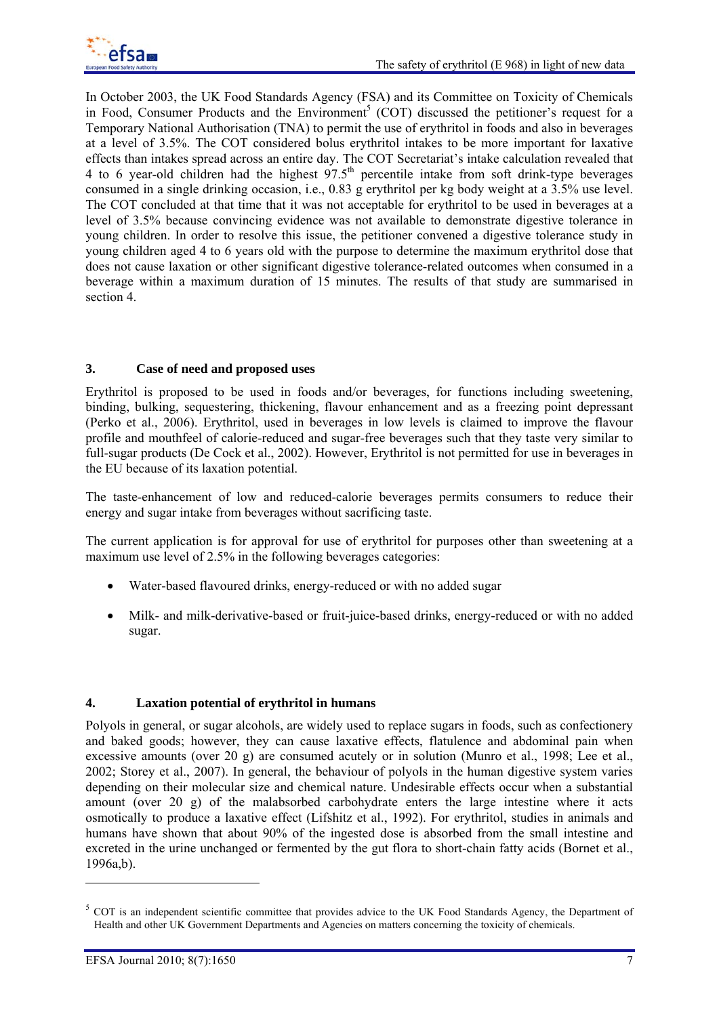In October 2003, the UK Food Standards Agency (FSA) and its Committee on Toxicity of Chemicals in Food, Consumer Products and the Environment<sup>5</sup> (COT) discussed the petitioner's request for a Temporary National Authorisation (TNA) to permit the use of erythritol in foods and also in beverages at a level of 3.5%. The COT considered bolus erythritol intakes to be more important for laxative effects than intakes spread across an entire day. The COT Secretariat's intake calculation revealed that 4 to 6 year-old children had the highest  $97.5<sup>th</sup>$  percentile intake from soft drink-type beverages consumed in a single drinking occasion, i.e., 0.83 g erythritol per kg body weight at a 3.5% use level. The COT concluded at that time that it was not acceptable for erythritol to be used in beverages at a level of 3.5% because convincing evidence was not available to demonstrate digestive tolerance in young children. In order to resolve this issue, the petitioner convened a digestive tolerance study in young children aged 4 to 6 years old with the purpose to determine the maximum erythritol dose that does not cause laxation or other significant digestive tolerance-related outcomes when consumed in a beverage within a maximum duration of 15 minutes. The results of that study are summarised in section 4.

## **3. Case of need and proposed uses**

Erythritol is proposed to be used in foods and/or beverages, for functions including sweetening, binding, bulking, sequestering, thickening, flavour enhancement and as a freezing point depressant (Perko et al., 2006). Erythritol, used in beverages in low levels is claimed to improve the flavour profile and mouthfeel of calorie-reduced and sugar-free beverages such that they taste very similar to full-sugar products (De Cock et al., 2002). However, Erythritol is not permitted for use in beverages in the EU because of its laxation potential.

The taste-enhancement of low and reduced-calorie beverages permits consumers to reduce their energy and sugar intake from beverages without sacrificing taste.

The current application is for approval for use of erythritol for purposes other than sweetening at a maximum use level of 2.5% in the following beverages categories:

- Water-based flavoured drinks, energy-reduced or with no added sugar
- Milk- and milk-derivative-based or fruit-juice-based drinks, energy-reduced or with no added sugar.

## **4. Laxation potential of erythritol in humans**

Polyols in general, or sugar alcohols, are widely used to replace sugars in foods, such as confectionery and baked goods; however, they can cause laxative effects, flatulence and abdominal pain when excessive amounts (over 20 g) are consumed acutely or in solution (Munro et al., 1998; Lee et al., 2002; Storey et al., 2007). In general, the behaviour of polyols in the human digestive system varies depending on their molecular size and chemical nature. Undesirable effects occur when a substantial amount (over 20 g) of the malabsorbed carbohydrate enters the large intestine where it acts osmotically to produce a laxative effect (Lifshitz et al., 1992). For erythritol, studies in animals and humans have shown that about 90% of the ingested dose is absorbed from the small intestine and excreted in the urine unchanged or fermented by the gut flora to short-chain fatty acids (Bornet et al., 1996a,b).

1

<sup>&</sup>lt;sup>5</sup> COT is an independent scientific committee that provides advice to the UK Food Standards Agency, the Department of Health and other UK Government Departments and Agencies on matters concerning the toxicity of chemicals.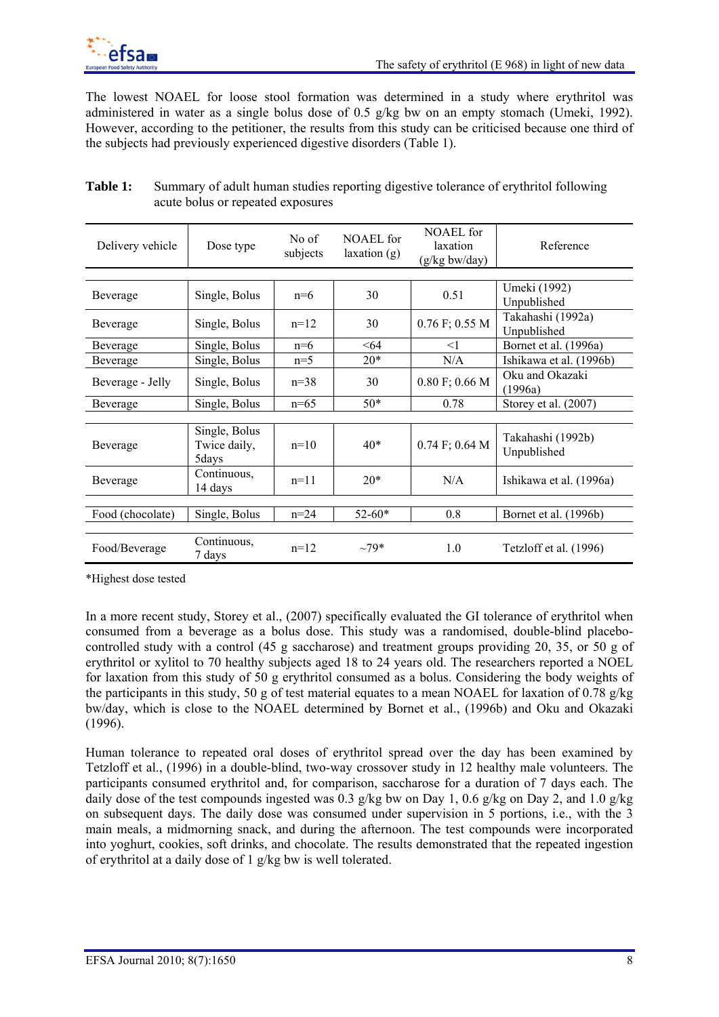The lowest NOAEL for loose stool formation was determined in a study where erythritol was administered in water as a single bolus dose of 0.5 g/kg bw on an empty stomach (Umeki, 1992). However, according to the petitioner, the results from this study can be criticised because one third of the subjects had previously experienced digestive disorders (Table 1).

| Delivery vehicle | Dose type                              | No of<br>subjects | NOAEL for<br>laxation(g) | NOAEL for<br>laxation<br>$(g/kg$ bw/day) | Reference                        |  |
|------------------|----------------------------------------|-------------------|--------------------------|------------------------------------------|----------------------------------|--|
|                  |                                        |                   |                          |                                          |                                  |  |
| Beverage         | Single, Bolus                          | $n=6$             | 30                       | 0.51                                     | Umeki (1992)<br>Unpublished      |  |
| Beverage         | Single, Bolus                          | $n=12$            | 30                       | $0.76$ F; 0.55 M                         | Takahashi (1992a)<br>Unpublished |  |
| Beverage         | Single, Bolus                          | $n=6$             | $64$                     | $<$ 1                                    | Bornet et al. (1996a)            |  |
| Beverage         | Single, Bolus                          | $n=5$             | $20*$                    | N/A                                      | Ishikawa et al. (1996b)          |  |
| Beverage - Jelly | Single, Bolus                          | $n=38$            | 30                       | $0.80$ F; 0.66 M                         | Oku and Okazaki<br>(1996a)       |  |
| Beverage         | Single, Bolus                          | $n=65$            | $50*$                    | 0.78                                     | Storey et al. (2007)             |  |
|                  |                                        |                   |                          |                                          |                                  |  |
| Beverage         | Single, Bolus<br>Twice daily,<br>5days | $n=10$            | $40*$                    | $0.74$ F; 0.64 M                         | Takahashi (1992b)<br>Unpublished |  |
| Beverage         | Continuous,<br>14 days                 | $n=11$            | $20*$                    | N/A                                      | Ishikawa et al. (1996a)          |  |
|                  |                                        |                   |                          |                                          |                                  |  |
| Food (chocolate) | Single, Bolus                          | $n = 24$          | $52 - 60*$               | 0.8                                      | Bornet et al. (1996b)            |  |
|                  |                                        |                   |                          |                                          |                                  |  |
| Food/Beverage    | Continuous,<br>7 days                  | $n=12$            | $-79*$                   | 1.0                                      | Tetzloff et al. (1996)           |  |

## **Table 1:** Summary of adult human studies reporting digestive tolerance of erythritol following acute bolus or repeated exposures

\*Highest dose tested

In a more recent study, Storey et al., (2007) specifically evaluated the GI tolerance of erythritol when consumed from a beverage as a bolus dose. This study was a randomised, double-blind placebocontrolled study with a control (45 g saccharose) and treatment groups providing 20, 35, or 50 g of erythritol or xylitol to 70 healthy subjects aged 18 to 24 years old. The researchers reported a NOEL for laxation from this study of 50 g erythritol consumed as a bolus. Considering the body weights of the participants in this study, 50 g of test material equates to a mean NOAEL for laxation of 0.78 g/kg bw/day, which is close to the NOAEL determined by Bornet et al., (1996b) and Oku and Okazaki (1996).

Human tolerance to repeated oral doses of erythritol spread over the day has been examined by Tetzloff et al., (1996) in a double-blind, two-way crossover study in 12 healthy male volunteers. The participants consumed erythritol and, for comparison, saccharose for a duration of 7 days each. The daily dose of the test compounds ingested was 0.3 g/kg bw on Day 1, 0.6 g/kg on Day 2, and 1.0 g/kg on subsequent days. The daily dose was consumed under supervision in 5 portions, i.e., with the 3 main meals, a midmorning snack, and during the afternoon. The test compounds were incorporated into yoghurt, cookies, soft drinks, and chocolate. The results demonstrated that the repeated ingestion of erythritol at a daily dose of 1 g/kg bw is well tolerated.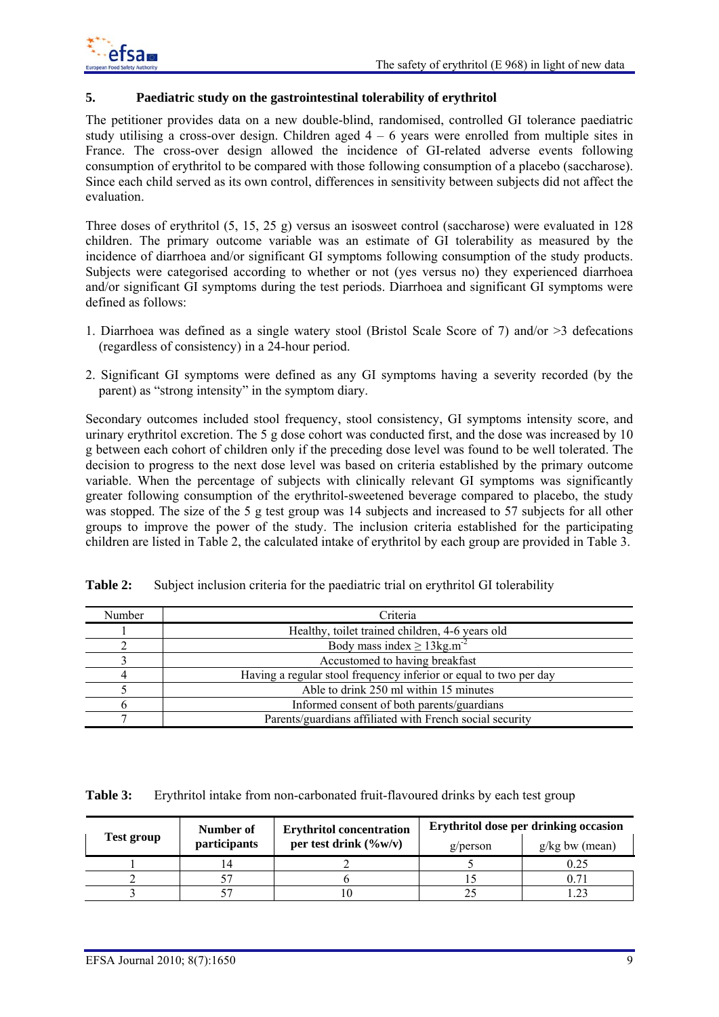## **5. Paediatric study on the gastrointestinal tolerability of erythritol**

The petitioner provides data on a new double-blind, randomised, controlled GI tolerance paediatric study utilising a cross-over design. Children aged  $4 - 6$  years were enrolled from multiple sites in France. The cross-over design allowed the incidence of GI-related adverse events following consumption of erythritol to be compared with those following consumption of a placebo (saccharose). Since each child served as its own control, differences in sensitivity between subjects did not affect the evaluation.

Three doses of erythritol (5, 15, 25 g) versus an isosweet control (saccharose) were evaluated in 128 children. The primary outcome variable was an estimate of GI tolerability as measured by the incidence of diarrhoea and/or significant GI symptoms following consumption of the study products. Subjects were categorised according to whether or not (yes versus no) they experienced diarrhoea and/or significant GI symptoms during the test periods. Diarrhoea and significant GI symptoms were defined as follows:

- 1. Diarrhoea was defined as a single watery stool (Bristol Scale Score of 7) and/or >3 defecations (regardless of consistency) in a 24-hour period.
- 2. Significant GI symptoms were defined as any GI symptoms having a severity recorded (by the parent) as "strong intensity" in the symptom diary.

Secondary outcomes included stool frequency, stool consistency, GI symptoms intensity score, and urinary erythritol excretion. The 5 g dose cohort was conducted first, and the dose was increased by 10 g between each cohort of children only if the preceding dose level was found to be well tolerated. The decision to progress to the next dose level was based on criteria established by the primary outcome variable. When the percentage of subjects with clinically relevant GI symptoms was significantly greater following consumption of the erythritol-sweetened beverage compared to placebo, the study was stopped. The size of the 5 g test group was 14 subjects and increased to 57 subjects for all other groups to improve the power of the study. The inclusion criteria established for the participating children are listed in Table 2, the calculated intake of erythritol by each group are provided in Table 3.

| Number | Criteria                                                          |
|--------|-------------------------------------------------------------------|
|        | Healthy, toilet trained children, 4-6 years old                   |
|        | Body mass index $\geq 13$ kg.m <sup>-2</sup>                      |
|        | Accustomed to having breakfast                                    |
|        | Having a regular stool frequency inferior or equal to two per day |
|        | Able to drink 250 ml within 15 minutes                            |
|        | Informed consent of both parents/guardians                        |
|        | Parents/guardians affiliated with French social security          |

**Table 2:** Subject inclusion criteria for the paediatric trial on erythritol GI tolerability

**Table 3:** Erythritol intake from non-carbonated fruit-flavoured drinks by each test group

|            | Number of    | <b>Erythritol concentration</b> | Erythritol dose per drinking occasion |                  |  |
|------------|--------------|---------------------------------|---------------------------------------|------------------|--|
| Test group | participants | per test drink $(\%w/v)$        | g/person                              | $g/kg$ bw (mean) |  |
|            |              |                                 |                                       | 0.25             |  |
|            |              |                                 |                                       |                  |  |
|            |              |                                 |                                       |                  |  |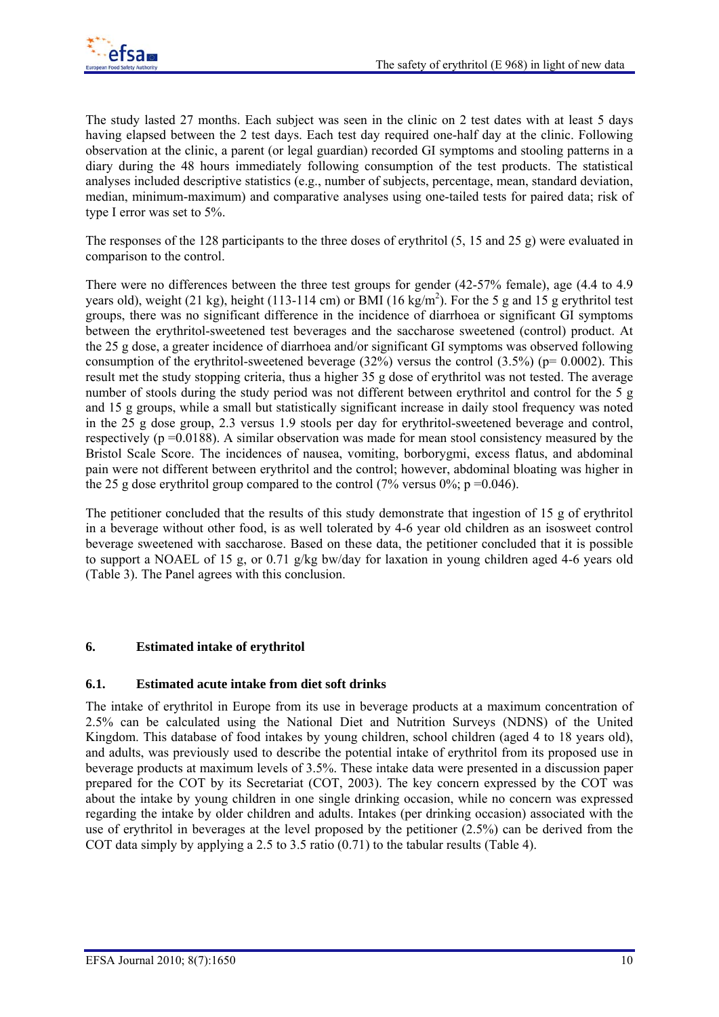The study lasted 27 months. Each subject was seen in the clinic on 2 test dates with at least 5 days having elapsed between the 2 test days. Each test day required one-half day at the clinic. Following observation at the clinic, a parent (or legal guardian) recorded GI symptoms and stooling patterns in a diary during the 48 hours immediately following consumption of the test products. The statistical analyses included descriptive statistics (e.g., number of subjects, percentage, mean, standard deviation, median, minimum-maximum) and comparative analyses using one-tailed tests for paired data; risk of type I error was set to 5%.

The responses of the 128 participants to the three doses of erythritol (5, 15 and 25 g) were evaluated in comparison to the control.

There were no differences between the three test groups for gender (42-57% female), age (4.4 to 4.9 years old), weight (21 kg), height (113-114 cm) or BMI (16 kg/m<sup>2</sup>). For the 5 g and 15 g erythritol test groups, there was no significant difference in the incidence of diarrhoea or significant GI symptoms between the erythritol-sweetened test beverages and the saccharose sweetened (control) product. At the 25 g dose, a greater incidence of diarrhoea and/or significant GI symptoms was observed following consumption of the erythritol-sweetened beverage  $(32%)$  versus the control  $(3.5%)$  (p= 0.0002). This result met the study stopping criteria, thus a higher 35 g dose of erythritol was not tested. The average number of stools during the study period was not different between erythritol and control for the 5 g and 15 g groups, while a small but statistically significant increase in daily stool frequency was noted in the 25 g dose group, 2.3 versus 1.9 stools per day for erythritol-sweetened beverage and control, respectively ( $p = 0.0188$ ). A similar observation was made for mean stool consistency measured by the Bristol Scale Score. The incidences of nausea, vomiting, borborygmi, excess flatus, and abdominal pain were not different between erythritol and the control; however, abdominal bloating was higher in the 25 g dose erythritol group compared to the control  $(7\%$  versus 0%; p =0.046).

The petitioner concluded that the results of this study demonstrate that ingestion of 15 g of erythritol in a beverage without other food, is as well tolerated by 4-6 year old children as an isosweet control beverage sweetened with saccharose. Based on these data, the petitioner concluded that it is possible to support a NOAEL of 15 g, or 0.71 g/kg bw/day for laxation in young children aged 4-6 years old (Table 3). The Panel agrees with this conclusion.

## **6. Estimated intake of erythritol**

## **6.1. Estimated acute intake from diet soft drinks**

The intake of erythritol in Europe from its use in beverage products at a maximum concentration of 2.5% can be calculated using the National Diet and Nutrition Surveys (NDNS) of the United Kingdom. This database of food intakes by young children, school children (aged 4 to 18 years old), and adults, was previously used to describe the potential intake of erythritol from its proposed use in beverage products at maximum levels of 3.5%. These intake data were presented in a discussion paper prepared for the COT by its Secretariat (COT, 2003). The key concern expressed by the COT was about the intake by young children in one single drinking occasion, while no concern was expressed regarding the intake by older children and adults. Intakes (per drinking occasion) associated with the use of erythritol in beverages at the level proposed by the petitioner (2.5%) can be derived from the COT data simply by applying a 2.5 to 3.5 ratio (0.71) to the tabular results (Table 4).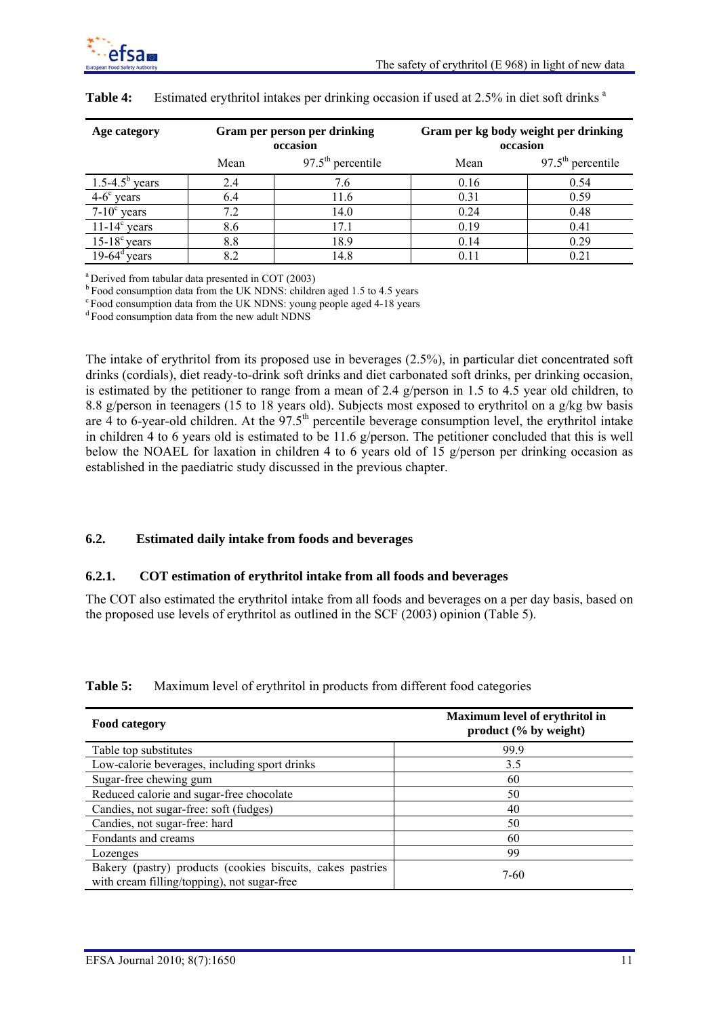

| Age category          |      | Gram per person per drinking<br>occasion | Gram per kg body weight per drinking<br>occasion |                     |  |
|-----------------------|------|------------------------------------------|--------------------------------------------------|---------------------|--|
|                       | Mean | $97.5th$ percentile                      | Mean                                             | $97.5th$ percentile |  |
| $1.5-4.5^b$ years     | 2.4  | 7.6                                      | 0.16                                             | 0.54                |  |
| $4-6^{\circ}$ years   | 6.4  | 11.6                                     | 0.31                                             | 0.59                |  |
| $7-10^{\circ}$ years  | 7.2  | 14.0                                     | 0.24                                             | 0.48                |  |
| $11-14^{\circ}$ years | 8.6  | 17.1                                     | 0.19                                             | 0.41                |  |
| $15-18^{\circ}$ years | 8.8  | 18.9                                     | 0.14                                             | 0.29                |  |
| $19-64^{\rm d}$ years | 8.2  | 14.8                                     | 0.11                                             | 0.21                |  |

### **Table 4:** Estimated erythritol intakes per drinking occasion if used at 2.5% in diet soft drinks <sup>a</sup>

a Derived from tabular data presented in COT (2003)

<sup>b</sup> Food consumption data from the UK NDNS: children aged 1.5 to 4.5 years

c Food consumption data from the UK NDNS: young people aged 4-18 years

d Food consumption data from the new adult NDNS

The intake of erythritol from its proposed use in beverages (2.5%), in particular diet concentrated soft drinks (cordials), diet ready-to-drink soft drinks and diet carbonated soft drinks, per drinking occasion, is estimated by the petitioner to range from a mean of 2.4 g/person in 1.5 to 4.5 year old children, to 8.8 g/person in teenagers (15 to 18 years old). Subjects most exposed to erythritol on a g/kg bw basis are  $\frac{1}{4}$  to 6-year-old children. At the 97.5<sup>th</sup> percentile beverage consumption level, the erythritol intake in children 4 to 6 years old is estimated to be 11.6 g/person. The petitioner concluded that this is well below the NOAEL for laxation in children 4 to 6 years old of 15 g/person per drinking occasion as established in the paediatric study discussed in the previous chapter.

### **6.2. Estimated daily intake from foods and beverages**

### **6.2.1. COT estimation of erythritol intake from all foods and beverages**

The COT also estimated the erythritol intake from all foods and beverages on a per day basis, based on the proposed use levels of erythritol as outlined in the SCF (2003) opinion (Table 5).

| Food category                                 | Maximum level of erythritol in<br>product (% by weight) |
|-----------------------------------------------|---------------------------------------------------------|
| Table top substitutes                         | 999                                                     |
| Low-calorie beverages, including sport drinks | 3.5                                                     |
| Sugar-free chewing gum                        | 60                                                      |
| Reduced calorie and sugar-free chocolate      | 50                                                      |
| Candies, not sugar-free: soft (fudges)        | 40                                                      |
| Candies, not sugar-free: hard                 | 50                                                      |

## **Table 5:** Maximum level of erythritol in products from different food categories

Fondants and creams 60 Lozenges 99

Bakery (pastry) products (cookies biscuits, cakes pastries 7-60<br>with cream filling/topping), not sugar-free

Bakery (pastry) products (cookies biscuits, cakes pastries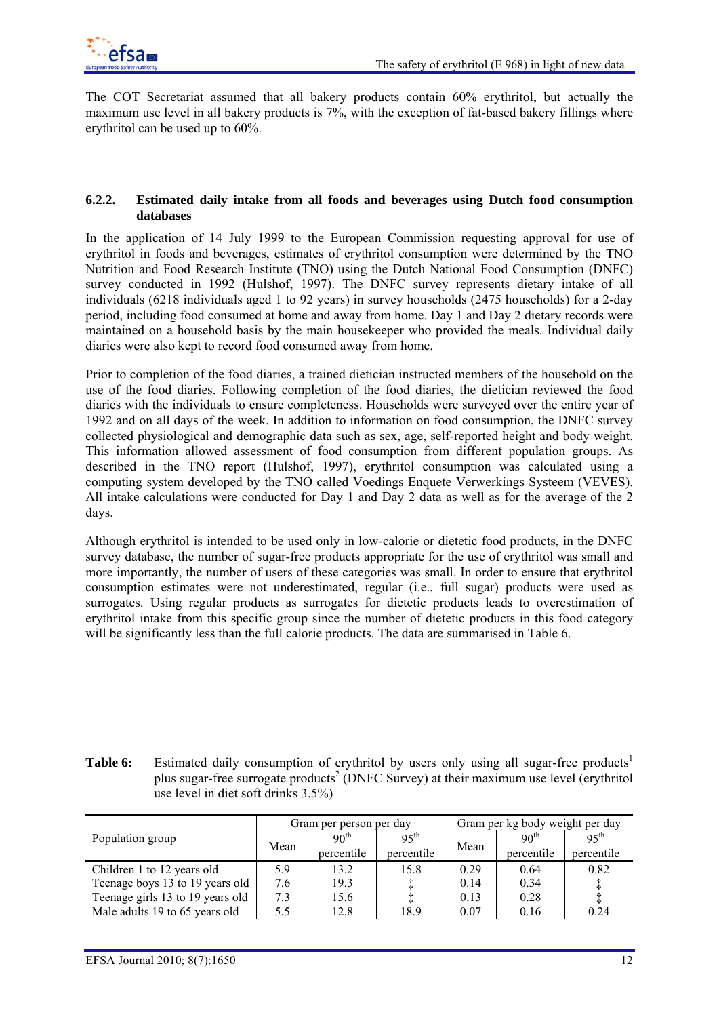

The COT Secretariat assumed that all bakery products contain 60% erythritol, but actually the maximum use level in all bakery products is 7%, with the exception of fat-based bakery fillings where erythritol can be used up to 60%.

### **6.2.2. Estimated daily intake from all foods and beverages using Dutch food consumption databases**

In the application of 14 July 1999 to the European Commission requesting approval for use of erythritol in foods and beverages, estimates of erythritol consumption were determined by the TNO Nutrition and Food Research Institute (TNO) using the Dutch National Food Consumption (DNFC) survey conducted in 1992 (Hulshof, 1997). The DNFC survey represents dietary intake of all individuals (6218 individuals aged 1 to 92 years) in survey households (2475 households) for a 2-day period, including food consumed at home and away from home. Day 1 and Day 2 dietary records were maintained on a household basis by the main housekeeper who provided the meals. Individual daily diaries were also kept to record food consumed away from home.

Prior to completion of the food diaries, a trained dietician instructed members of the household on the use of the food diaries. Following completion of the food diaries, the dietician reviewed the food diaries with the individuals to ensure completeness. Households were surveyed over the entire year of 1992 and on all days of the week. In addition to information on food consumption, the DNFC survey collected physiological and demographic data such as sex, age, self-reported height and body weight. This information allowed assessment of food consumption from different population groups. As described in the TNO report (Hulshof, 1997), erythritol consumption was calculated using a computing system developed by the TNO called Voedings Enquete Verwerkings Systeem (VEVES). All intake calculations were conducted for Day 1 and Day 2 data as well as for the average of the 2 days.

Although erythritol is intended to be used only in low-calorie or dietetic food products, in the DNFC survey database, the number of sugar-free products appropriate for the use of erythritol was small and more importantly, the number of users of these categories was small. In order to ensure that erythritol consumption estimates were not underestimated, regular (i.e., full sugar) products were used as surrogates. Using regular products as surrogates for dietetic products leads to overestimation of erythritol intake from this specific group since the number of dietetic products in this food category will be significantly less than the full calorie products. The data are summarised in Table 6.

| Table 6: | Estimated daily consumption of erythritol by users only using all sugar-free products <sup>1</sup>   |
|----------|------------------------------------------------------------------------------------------------------|
|          | plus sugar-free surrogate products <sup>2</sup> (DNFC Survey) at their maximum use level (erythritol |
|          | use level in diet soft drinks $3.5\%$                                                                |

|                                  |      | Gram per person per day |                  | Gram per kg body weight per day |                  |                  |
|----------------------------------|------|-------------------------|------------------|---------------------------------|------------------|------------------|
| Population group                 | Mean | 90 <sup>th</sup>        | 95 <sup>th</sup> | Mean                            | 90 <sup>th</sup> | $95^{\text{th}}$ |
|                                  |      | percentile              | percentile       |                                 | percentile       | percentile       |
| Children 1 to 12 years old       | 5.9  | 13.2                    | 15.8             | 0.29                            | 0.64             | 0.82             |
| Teenage boys 13 to 19 years old  | 7.6  | 19.3                    |                  | 0.14                            | 0.34             | ÷                |
| Teenage girls 13 to 19 years old | 7.3  | 15.6                    |                  | 0.13                            | 0.28             |                  |
| Male adults 19 to 65 years old   | 5.5  | 12.8                    | 18.9             | 0.07                            | 0.16             | 0.24             |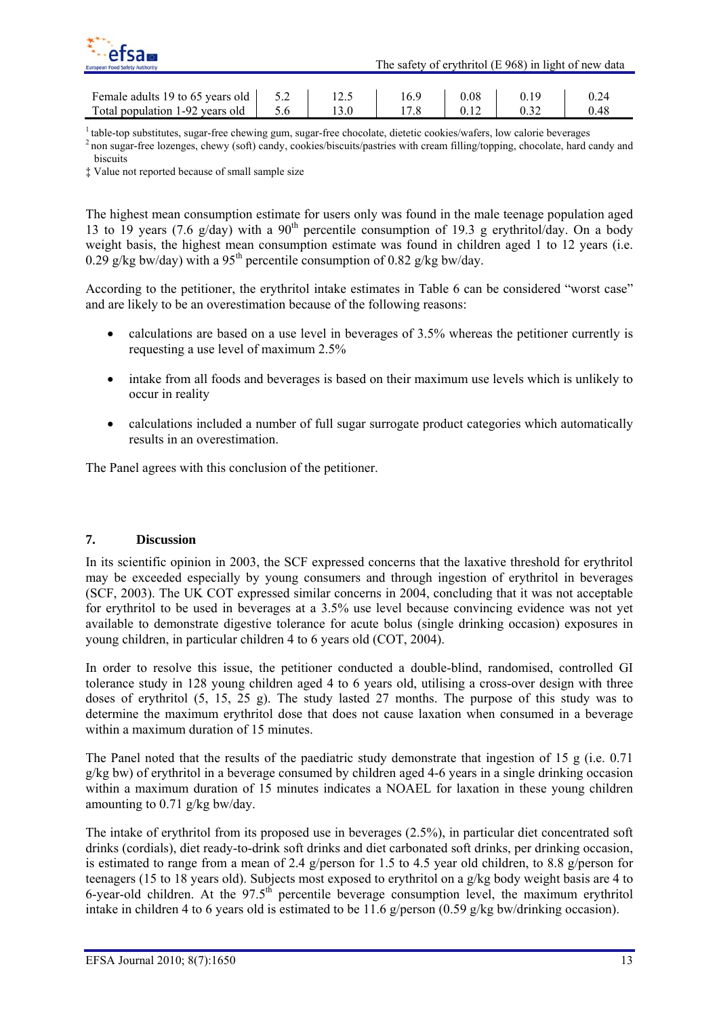

| Female adults 19 to 65 years old $\vert$ 5.2 $\vert$ |  | 16.9 | 0.08 |      |
|------------------------------------------------------|--|------|------|------|
| Total population 1-92 years old                      |  |      | 0.12 | 0.48 |

 $\frac{1}{2}$  table-top substitutes, sugar-free chewing gum, sugar-free chocolate, dietetic cookies/wafers, low calorie beverages  $\frac{2}{2}$  non sugar-free lozenges, chewy (soft) candy, cookies/biscuits/pastries with cream fil biscuits

‡ Value not reported because of small sample size

The highest mean consumption estimate for users only was found in the male teenage population aged 13 to 19 years (7.6 g/day) with a  $90<sup>th</sup>$  percentile consumption of 19.3 g erythritol/day. On a body weight basis, the highest mean consumption estimate was found in children aged 1 to 12 years (i.e. 0.29 g/kg bw/day) with a 95<sup>th</sup> percentile consumption of 0.82 g/kg bw/day.

According to the petitioner, the erythritol intake estimates in Table 6 can be considered "worst case" and are likely to be an overestimation because of the following reasons:

- calculations are based on a use level in beverages of 3.5% whereas the petitioner currently is requesting a use level of maximum 2.5%
- intake from all foods and beverages is based on their maximum use levels which is unlikely to occur in reality
- calculations included a number of full sugar surrogate product categories which automatically results in an overestimation.

The Panel agrees with this conclusion of the petitioner.

### **7. Discussion**

In its scientific opinion in 2003, the SCF expressed concerns that the laxative threshold for erythritol may be exceeded especially by young consumers and through ingestion of erythritol in beverages (SCF, 2003). The UK COT expressed similar concerns in 2004, concluding that it was not acceptable for erythritol to be used in beverages at a 3.5% use level because convincing evidence was not yet available to demonstrate digestive tolerance for acute bolus (single drinking occasion) exposures in young children, in particular children 4 to 6 years old (COT, 2004).

In order to resolve this issue, the petitioner conducted a double-blind, randomised, controlled GI tolerance study in 128 young children aged 4 to 6 years old, utilising a cross-over design with three doses of erythritol (5, 15, 25 g). The study lasted 27 months. The purpose of this study was to determine the maximum erythritol dose that does not cause laxation when consumed in a beverage within a maximum duration of 15 minutes.

The Panel noted that the results of the paediatric study demonstrate that ingestion of 15 g (i.e. 0.71 g/kg bw) of erythritol in a beverage consumed by children aged 4-6 years in a single drinking occasion within a maximum duration of 15 minutes indicates a NOAEL for laxation in these young children amounting to 0.71 g/kg bw/day.

The intake of erythritol from its proposed use in beverages (2.5%), in particular diet concentrated soft drinks (cordials), diet ready-to-drink soft drinks and diet carbonated soft drinks, per drinking occasion, is estimated to range from a mean of 2.4 g/person for 1.5 to 4.5 year old children, to 8.8 g/person for teenagers (15 to 18 years old). Subjects most exposed to erythritol on a g/kg body weight basis are 4 to 6-year-old children. At the 97.5<sup>th</sup> percentile beverage consumption level, the maximum erythritol intake in children 4 to 6 years old is estimated to be 11.6 g/person  $(0.59 \text{ g/kg}$  bw/drinking occasion).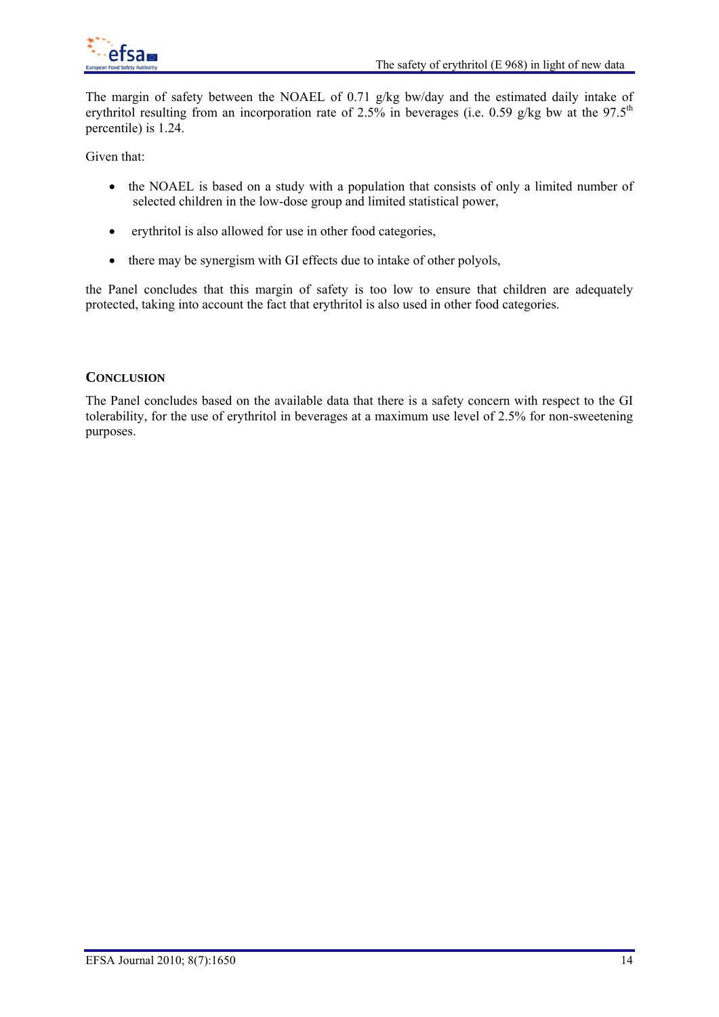

The margin of safety between the NOAEL of 0.71 g/kg bw/day and the estimated daily intake of erythritol resulting from an incorporation rate of 2.5% in beverages (i.e. 0.59 g/kg bw at the 97.5<sup>th</sup> percentile) is 1.24.

Given that:

- the NOAEL is based on a study with a population that consists of only a limited number of selected children in the low-dose group and limited statistical power,
- erythritol is also allowed for use in other food categories,
- there may be synergism with GI effects due to intake of other polyols,

the Panel concludes that this margin of safety is too low to ensure that children are adequately protected, taking into account the fact that erythritol is also used in other food categories.

## **CONCLUSION**

The Panel concludes based on the available data that there is a safety concern with respect to the GI tolerability, for the use of erythritol in beverages at a maximum use level of 2.5% for non-sweetening purposes.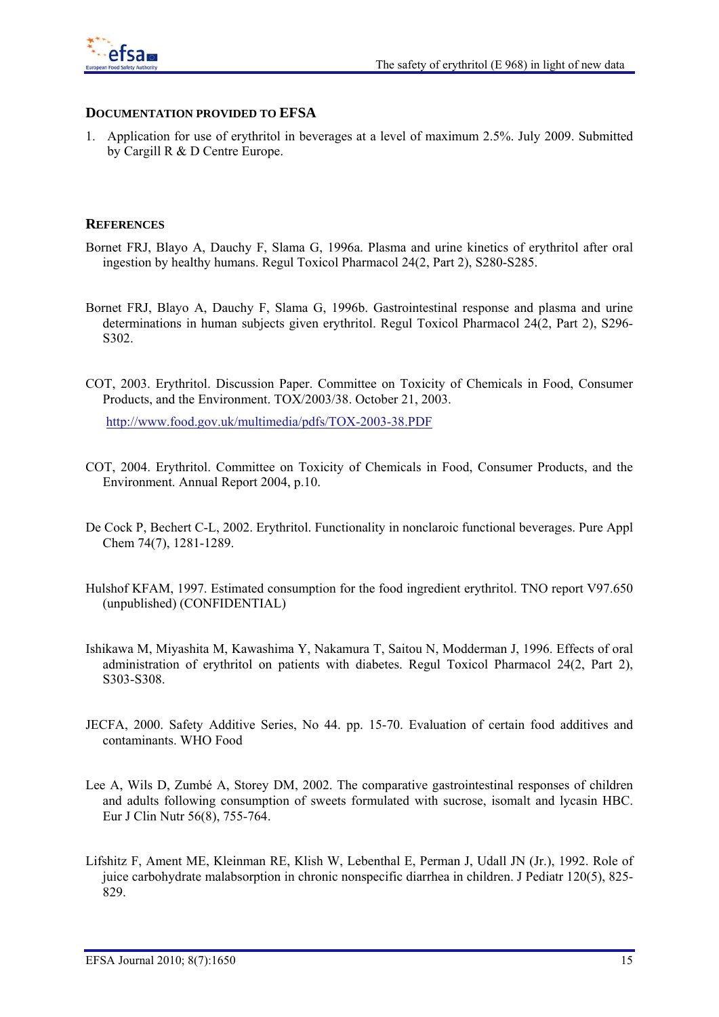

## **DOCUMENTATION PROVIDED TO EFSA**

1. Application for use of erythritol in beverages at a level of maximum 2.5%. July 2009. Submitted by Cargill R & D Centre Europe.

### **REFERENCES**

- Bornet FRJ, Blayo A, Dauchy F, Slama G, 1996a. Plasma and urine kinetics of erythritol after oral ingestion by healthy humans. Regul Toxicol Pharmacol 24(2, Part 2), S280-S285.
- Bornet FRJ, Blayo A, Dauchy F, Slama G, 1996b. Gastrointestinal response and plasma and urine determinations in human subjects given erythritol. Regul Toxicol Pharmacol 24(2, Part 2), S296- S302.
- COT, 2003. Erythritol. Discussion Paper. Committee on Toxicity of Chemicals in Food, Consumer Products, and the Environment. TOX/2003/38. October 21, 2003.

http://www.food.gov.uk/multimedia/pdfs/TOX-2003-38.PDF

- COT, 2004. Erythritol. Committee on Toxicity of Chemicals in Food, Consumer Products, and the Environment. Annual Report 2004, p.10.
- De Cock P, Bechert C-L, 2002. Erythritol. Functionality in nonclaroic functional beverages. Pure Appl Chem 74(7), 1281-1289.
- Hulshof KFAM, 1997. Estimated consumption for the food ingredient erythritol. TNO report V97.650 (unpublished) (CONFIDENTIAL)
- Ishikawa M, Miyashita M, Kawashima Y, Nakamura T, Saitou N, Modderman J, 1996. Effects of oral administration of erythritol on patients with diabetes. Regul Toxicol Pharmacol 24(2, Part 2), S303-S308.
- JECFA, 2000. Safety Additive Series, No 44. pp. 15-70. Evaluation of certain food additives and contaminants. WHO Food
- Lee A, Wils D, Zumbé A, Storey DM, 2002. The comparative gastrointestinal responses of children and adults following consumption of sweets formulated with sucrose, isomalt and lycasin HBC. Eur J Clin Nutr 56(8), 755-764.
- Lifshitz F, Ament ME, Kleinman RE, Klish W, Lebenthal E, Perman J, Udall JN (Jr.), 1992. Role of juice carbohydrate malabsorption in chronic nonspecific diarrhea in children. J Pediatr 120(5), 825- 829.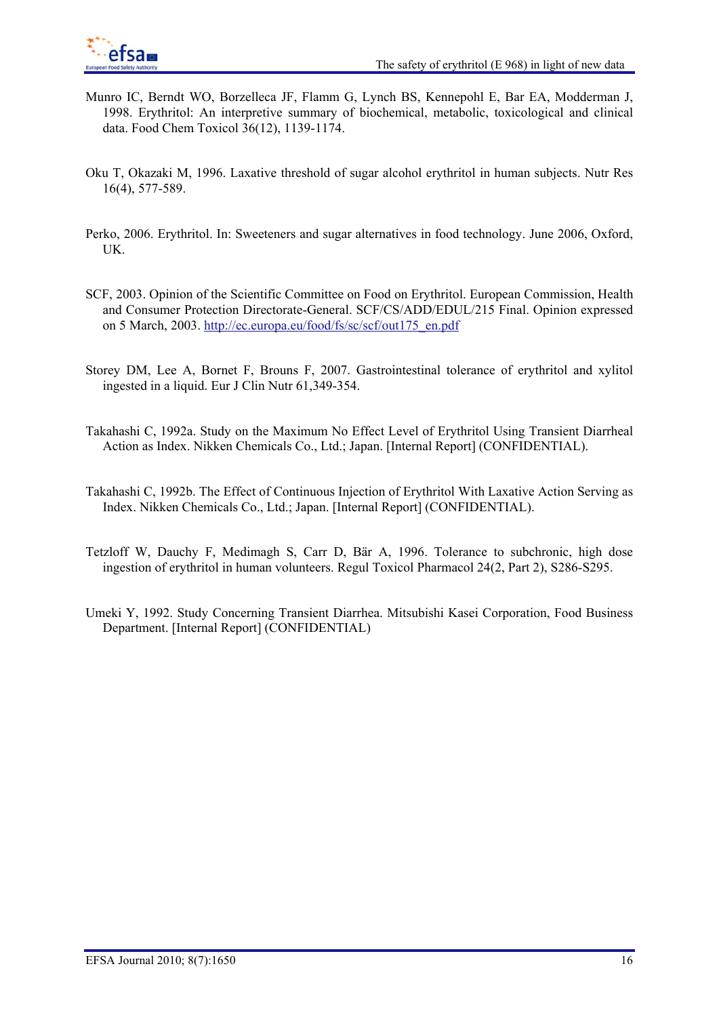- Munro IC, Berndt WO, Borzelleca JF, Flamm G, Lynch BS, Kennepohl E, Bar EA, Modderman J, 1998. Erythritol: An interpretive summary of biochemical, metabolic, toxicological and clinical data. Food Chem Toxicol 36(12), 1139-1174.
- Oku T, Okazaki M, 1996. Laxative threshold of sugar alcohol erythritol in human subjects. Nutr Res 16(4), 577-589.
- Perko, 2006. Erythritol. In: Sweeteners and sugar alternatives in food technology. June 2006, Oxford, UK.
- SCF, 2003. Opinion of the Scientific Committee on Food on Erythritol. European Commission, Health and Consumer Protection Directorate-General. SCF/CS/ADD/EDUL/215 Final. Opinion expressed on 5 March, 2003. http://ec.europa.eu/food/fs/sc/scf/out175\_en.pdf
- Storey DM, Lee A, Bornet F, Brouns F, 2007. Gastrointestinal tolerance of erythritol and xylitol ingested in a liquid. Eur J Clin Nutr 61,349-354.
- Takahashi C, 1992a. Study on the Maximum No Effect Level of Erythritol Using Transient Diarrheal Action as Index. Nikken Chemicals Co., Ltd.; Japan. [Internal Report] (CONFIDENTIAL).
- Takahashi C, 1992b. The Effect of Continuous Injection of Erythritol With Laxative Action Serving as Index. Nikken Chemicals Co., Ltd.; Japan. [Internal Report] (CONFIDENTIAL).
- Tetzloff W, Dauchy F, Medimagh S, Carr D, Bär A, 1996. Tolerance to subchronic, high dose ingestion of erythritol in human volunteers. Regul Toxicol Pharmacol 24(2, Part 2), S286-S295.
- Umeki Y, 1992. Study Concerning Transient Diarrhea. Mitsubishi Kasei Corporation, Food Business Department. [Internal Report] (CONFIDENTIAL)